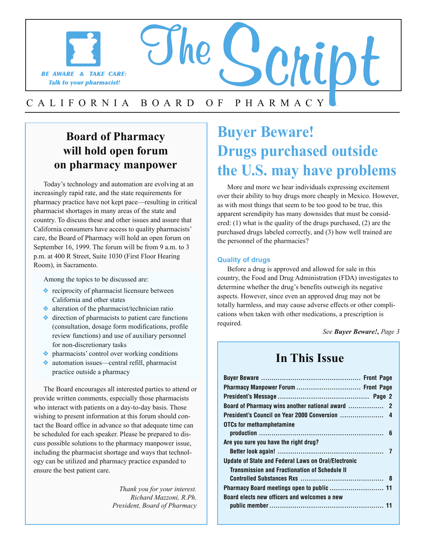

# CALIFORNIA BOARD OF PHARMACY Expedience **Board of Pharmacy**

### **will hold open forum on pharmacy manpower**

Today's technology and automation are evolving at an increasingly rapid rate, and the state requirements for pharmacy practice have not kept pace—resulting in critical pharmacist shortages in many areas of the state and country. To discuss these and other issues and assure that California consumers have access to quality pharmacists' care, the Board of Pharmacy will hold an open forum on September 16, 1999. The forum will be from 9 a.m. to 3 p.m. at 400 R Street, Suite 1030 (First Floor Hearing Room), in Sacramento.

Among the topics to be discussed are:

- ❖ reciprocity of pharmacist licensure between California and other states
- ❖ alteration of the pharmacist/technician ratio
- ❖ direction of pharmacists to patient care functions (consultation, dosage form modifications, profile review functions) and use of auxiliary personnel for non-discretionary tasks
- ❖ pharmacists' control over working conditions
- ❖ automation issues—central refill, pharmacist practice outside a pharmacy

The Board encourages all interested parties to attend or provide written comments, especially those pharmacists who interact with patients on a day-to-day basis. Those wishing to present information at this forum should contact the Board office in advance so that adequate time can be scheduled for each speaker. Please be prepared to discuss possible solutions to the pharmacy manpower issue, including the pharmacist shortage and ways that technology can be utilized and pharmacy practice expanded to ensure the best patient care.

I

*Thank you for your interest. Richard Mazzoni, R.Ph. President, Board of Pharmacy* 

### **Buyer Beware! Drugs purchased outside the U.S. may have problems**

More and more we hear individuals expressing excitement over their ability to buy drugs more cheaply in Mexico. However, as with most things that seem to be too good to be true, this apparent serendipity has many downsides that must be considered: (1) what is the quality of the drugs purchased, (2) are the purchased drugs labeled correctly, and (3) how well trained are the personnel of the pharmacies?

#### **Quality of drugs**

I

Before a drug is approved and allowed for sale in this country, the Food and Drug Administration (FDA) investigates to determine whether the drug's benefits outweigh its negative aspects. However, since even an approved drug may not be totally harmless, and may cause adverse effects or other complications when taken with other medications, a prescription is required.

*See Buyer Beware!, Page 3* 

### **In This Issue**

| Pharmacy Manpower Forum  Front Page                        |
|------------------------------------------------------------|
|                                                            |
|                                                            |
|                                                            |
| <b>OTCs for methamphetamine</b>                            |
|                                                            |
| Are you sure you have the right drug?                      |
|                                                            |
| <b>Update of State and Federal Laws on Oral/Electronic</b> |
| <b>Transmission and Fractionation of Schedule II</b>       |
|                                                            |
|                                                            |
| Board elects new officers and welcomes a new               |
|                                                            |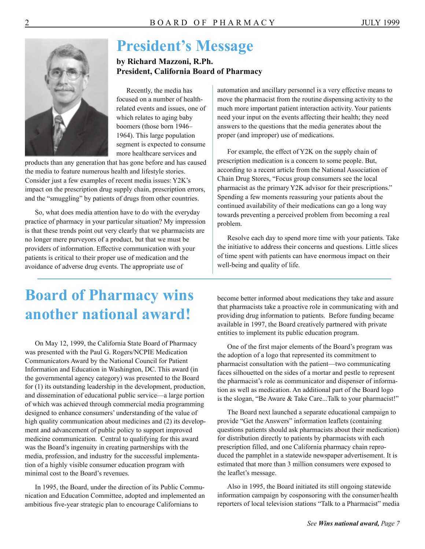

### **President's Message**

**by Richard Mazzoni, R.Ph. President, California Board of Pharmacy** 

Recently, the media has focused on a number of healthrelated events and issues, one of which relates to aging baby boomers (those born 1946– 1964). This large population segment is expected to consume more healthcare services and

products than any generation that has gone before and has caused the media to feature numerous health and lifestyle stories. Consider just a few examples of recent media issues: Y2K's impact on the prescription drug supply chain, prescription errors, and the "smuggling" by patients of drugs from other countries.

So, what does media attention have to do with the everyday practice of pharmacy in your particular situation? My impression is that these trends point out very clearly that we pharmacists are no longer mere purveyors of a product, but that we must be providers of information. Effective communication with your patients is critical to their proper use of medication and the avoidance of adverse drug events. The appropriate use of

automation and ancillary personnel is a very effective means to move the pharmacist from the routine dispensing activity to the much more important patient interaction activity. Your patients need your input on the events affecting their health; they need answers to the questions that the media generates about the proper (and improper) use of medications.

For example, the effect of Y2K on the supply chain of prescription medication is a concern to some people. But, according to a recent article from the National Association of Chain Drug Stores, "Focus group consumers see the local pharmacist as the primary Y2K advisor for their prescriptions." Spending a few moments reassuring your patients about the continued availability of their medications can go a long way towards preventing a perceived problem from becoming a real problem.

Resolve each day to spend more time with your patients. Take the initiative to address their concerns and questions. Little slices of time spent with patients can have enormous impact on their well-being and quality of life.

### **Board of Pharmacy wins another national award!**

On May 12, 1999, the California State Board of Pharmacy was presented with the Paul G. Rogers/NCPIE Medication Communicators Award by the National Council for Patient Information and Education in Washington, DC. This award (in the governmental agency category) was presented to the Board for (1) its outstanding leadership in the development, production, and dissemination of educational public service—a large portion of which was achieved through commercial media programming designed to enhance consumers' understanding of the value of high quality communication about medicines and (2) its development and advancement of public policy to support improved medicine communication. Central to qualifying for this award was the Board's ingenuity in creating partnerships with the media, profession, and industry for the successful implementation of a highly visible consumer education program with minimal cost to the Board's revenues.

In 1995, the Board, under the direction of its Public Communication and Education Committee, adopted and implemented an ambitious five-year strategic plan to encourage Californians to

become better informed about medications they take and assure that pharmacists take a proactive role in communicating with and providing drug information to patients. Before funding became available in 1997, the Board creatively partnered with private entities to implement its public education program.

One of the first major elements of the Board's program was the adoption of a logo that represented its commitment to pharmacist consultation with the patient—two communicating faces silhouetted on the sides of a mortar and pestle to represent the pharmacist's role as communicator and dispenser of information as well as medication. An additional part of the Board logo is the slogan, "Be Aware & Take Care...Talk to your pharmacist!"

The Board next launched a separate educational campaign to provide "Get the Answers" information leaflets (containing questions patients should ask pharmacists about their medication) for distribution directly to patients by pharmacists with each prescription filled, and one California pharmacy chain reproduced the pamphlet in a statewide newspaper advertisement. It is estimated that more than 3 million consumers were exposed to the leaflet's message.

Also in 1995, the Board initiated its still ongoing statewide information campaign by cosponsoring with the consumer/health reporters of local television stations "Talk to a Pharmacist" media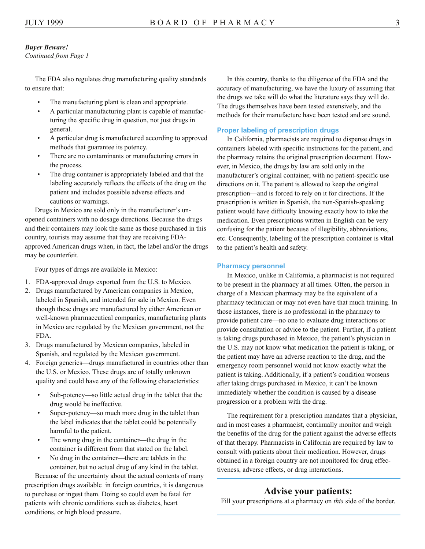#### *Buyer Beware!*

*Continued from Page 1* 

The FDA also regulates drug manufacturing quality standards to ensure that:

- The manufacturing plant is clean and appropriate.
- A particular manufacturing plant is capable of manufacturing the specific drug in question, not just drugs in general.
- A particular drug is manufactured according to approved methods that guarantee its potency.
- There are no contaminants or manufacturing errors in the process.
- The drug container is appropriately labeled and that the labeling accurately reflects the effects of the drug on the patient and includes possible adverse effects and cautions or warnings.

Drugs in Mexico are sold only in the manufacturer's unopened containers with no dosage directions. Because the drugs and their containers may look the same as those purchased in this country, tourists may assume that they are receiving FDAapproved American drugs when, in fact, the label and/or the drugs may be counterfeit.

Four types of drugs are available in Mexico:

- 1. FDA-approved drugs exported from the U.S. to Mexico.
- 2. Drugs manufactured by American companies in Mexico, labeled in Spanish, and intended for sale in Mexico. Even though these drugs are manufactured by either American or well-known pharmaceutical companies, manufacturing plants in Mexico are regulated by the Mexican government, not the FDA.
- 3. Drugs manufactured by Mexican companies, labeled in Spanish, and regulated by the Mexican government.
- 4. Foreign generics—drugs manufactured in countries other than the U.S. or Mexico. These drugs are of totally unknown quality and could have any of the following characteristics:
	- Sub-potency—so little actual drug in the tablet that the drug would be ineffective.
	- Super-potency—so much more drug in the tablet than the label indicates that the tablet could be potentially harmful to the patient.
	- The wrong drug in the container—the drug in the container is different from that stated on the label.
	- No drug in the container—there are tablets in the container, but no actual drug of any kind in the tablet.

Because of the uncertainty about the actual contents of many prescription drugs available in foreign countries, it is dangerous to purchase or ingest them. Doing so could even be fatal for patients with chronic conditions such as diabetes, heart conditions, or high blood pressure.

In this country, thanks to the diligence of the FDA and the accuracy of manufacturing, we have the luxury of assuming that the drugs we take will do what the literature says they will do. The drugs themselves have been tested extensively, and the methods for their manufacture have been tested and are sound.

#### **Proper labeling of prescription drugs**

In California, pharmacists are required to dispense drugs in containers labeled with specific instructions for the patient, and the pharmacy retains the original prescription document. However, in Mexico, the drugs by law are sold only in the manufacturer's original container, with no patient-specific use directions on it. The patient is allowed to keep the original prescription—and is forced to rely on it for directions. If the prescription is written in Spanish, the non-Spanish-speaking patient would have difficulty knowing exactly how to take the medication. Even prescriptions written in English can be very confusing for the patient because of illegibility, abbreviations, etc. Consequently, labeling of the prescription container is **vital** to the patient's health and safety.

#### **Pharmacy personnel**

In Mexico, unlike in California, a pharmacist is not required to be present in the pharmacy at all times. Often, the person in charge of a Mexican pharmacy may be the equivalent of a pharmacy technician or may not even have that much training. In those instances, there is no professional in the pharmacy to provide patient care—no one to evaluate drug interactions or provide consultation or advice to the patient. Further, if a patient is taking drugs purchased in Mexico, the patient's physician in the U.S. may not know what medication the patient is taking, or the patient may have an adverse reaction to the drug, and the emergency room personnel would not know exactly what the patient is taking. Additionally, if a patient's condition worsens after taking drugs purchased in Mexico, it can't be known immediately whether the condition is caused by a disease progression or a problem with the drug.

The requirement for a prescription mandates that a physician, and in most cases a pharmacist, continually monitor and weigh the benefits of the drug for the patient against the adverse effects of that therapy. Pharmacists in California are required by law to consult with patients about their medication. However, drugs obtained in a foreign country are not monitored for drug effectiveness, adverse effects, or drug interactions.

#### **Advise your patients:**

Fill your prescriptions at a pharmacy on *this* side of the border.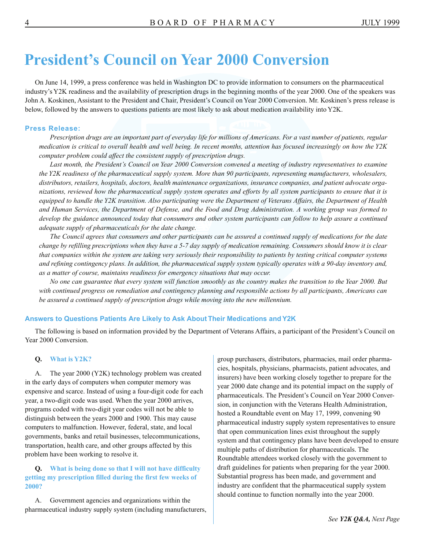### **President's Council on Year 2000 Conversion**

On June 14, 1999, a press conference was held in Washington DC to provide information to consumers on the pharmaceutical industry's Y2K readiness and the availability of prescription drugs in the beginning months of the year 2000. One of the speakers was John A. Koskinen, Assistant to the President and Chair, President's Council on Year 2000 Conversion. Mr. Koskinen's press release is below, followed by the answers to questions patients are most likely to ask about medication availability into Y2K.

#### **Press Release:**

*Prescription drugs are an important part of everyday life for millions of Americans. For a vast number of patients, regular medication is critical to overall health and well being. In recent months, attention has focused increasingly on how the Y2K computer problem could affect the consistent supply of prescription drugs.* 

Last month, the President's Council on Year 2000 Conversion convened a meeting of industry representatives to examine *the Y2K readiness of the pharmaceutical supply system. More than 90 participants, representing manufacturers, wholesalers, distributors, retailers, hospitals, doctors, health maintenance organizations, insurance companies, and patient advocate organizations, reviewed how the pharmaceutical supply system operates and efforts by all system participants to ensure that it is equipped to handle the Y2K transition. Also participating were the Department of Veterans Affairs, the Department of Health and Human Services, the Department of Defense, and the Food and Drug Administration. A working group was formed to develop the guidance announced today that consumers and other system participants can follow to help assure a continued adequate supply of pharmaceuticals for the date change.* 

*The Council agrees that consumers and other participants can be assured a continued supply of medications for the date change by refilling prescriptions when they have a 5-7 day supply of medication remaining. Consumers should know it is clear that companies within the system are taking very seriously their responsibility to patients by testing critical computer systems and refining contingency plans. In addition, the pharmaceutical supply system typically operates with a 90-day inventory and, as a matter of course, maintains readiness for emergency situations that may occur.* 

*No one can guarantee that every system will function smoothly as the country makes the transition to the Year 2000. But with continued progress on remediation and contingency planning and responsible actions by all participants, Americans can be assured a continued supply of prescription drugs while moving into the new millennium.* 

#### **Answers to Questions Patients Are Likely to Ask About Their Medications and Y2K**

The following is based on information provided by the Department of Veterans Affairs, a participant of the President's Council on Year 2000 Conversion.

#### **Q. What is Y2K?**

A. The year 2000 (Y2K) technology problem was created in the early days of computers when computer memory was expensive and scarce. Instead of using a four-digit code for each year, a two-digit code was used. When the year 2000 arrives, programs coded with two-digit year codes will not be able to distinguish between the years 2000 and 1900. This may cause computers to malfunction. However, federal, state, and local governments, banks and retail businesses, telecommunications, transportation, health care, and other groups affected by this problem have been working to resolve it.

#### **Q. What is being done so that I will not have difficulty getting my prescription filled during the first few weeks of 2000?**

A. Government agencies and organizations within the pharmaceutical industry supply system (including manufacturers, group purchasers, distributors, pharmacies, mail order pharmacies, hospitals, physicians, pharmacists, patient advocates, and insurers) have been working closely together to prepare for the year 2000 date change and its potential impact on the supply of pharmaceuticals. The President's Council on Year 2000 Conversion, in conjunction with the Veterans Health Administration, hosted a Roundtable event on May 17, 1999, convening 90 pharmaceutical industry supply system representatives to ensure that open communication lines exist throughout the supply system and that contingency plans have been developed to ensure multiple paths of distribution for pharmaceuticals. The Roundtable attendees worked closely with the government to draft guidelines for patients when preparing for the year 2000. Substantial progress has been made, and government and industry are confident that the pharmaceutical supply system should continue to function normally into the year 2000.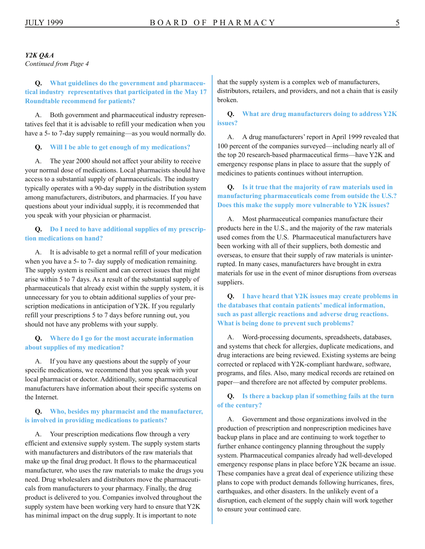#### *Y2K Q&A*

*Continued from Page 4* 

**Q. What guidelines do the government and pharmaceutical industry representatives that participated in the May 17 Roundtable recommend for patients?** 

A. Both government and pharmaceutical industry representatives feel that it is advisable to refill your medication when you have a 5- to 7-day supply remaining—as you would normally do.

#### **Q. Will I be able to get enough of my medications?**

A. The year 2000 should not affect your ability to receive your normal dose of medications. Local pharmacists should have access to a substantial supply of pharmaceuticals. The industry typically operates with a 90-day supply in the distribution system among manufacturers, distributors, and pharmacies. If you have questions about your individual supply, it is recommended that you speak with your physician or pharmacist.

#### **Q. Do I need to have additional supplies of my prescription medications on hand?**

A. It is advisable to get a normal refill of your medication when you have a 5- to 7- day supply of medication remaining. The supply system is resilient and can correct issues that might arise within 5 to 7 days. As a result of the substantial supply of pharmaceuticals that already exist within the supply system, it is unnecessary for you to obtain additional supplies of your prescription medications in anticipation of Y2K. If you regularly refill your prescriptions 5 to 7 days before running out, you should not have any problems with your supply.

#### **Q. Where do I go for the most accurate information about supplies of my medication?**

A. If you have any questions about the supply of your specific medications, we recommend that you speak with your local pharmacist or doctor. Additionally, some pharmaceutical manufacturers have information about their specific systems on the Internet.

#### **Q. Who, besides my pharmacist and the manufacturer, is involved in providing medications to patients?**

A. Your prescription medications flow through a very efficient and extensive supply system. The supply system starts with manufacturers and distributors of the raw materials that make up the final drug product. It flows to the pharmaceutical manufacturer, who uses the raw materials to make the drugs you need. Drug wholesalers and distributors move the pharmaceuticals from manufacturers to your pharmacy. Finally, the drug product is delivered to you. Companies involved throughout the supply system have been working very hard to ensure that Y2K has minimal impact on the drug supply. It is important to note

 distributors, retailers, and providers, and not a chain that is easily that the supply system is a complex web of manufacturers, broken.

#### **Q. What are drug manufacturers doing to address Y2K issues?**

A. A drug manufacturers' report in April 1999 revealed that 100 percent of the companies surveyed—including nearly all of the top 20 research-based pharmaceutical firms—have Y2K and emergency response plans in place to assure that the supply of medicines to patients continues without interruption.

#### **Q. Is it true that the majority of raw materials used in manufacturing pharmaceuticals come from outside the U.S.? Does this make the supply more vulnerable to Y2K issues?**

A. Most pharmaceutical companies manufacture their products here in the U.S., and the majority of the raw materials used comes from the U.S. Pharmaceutical manufacturers have been working with all of their suppliers, both domestic and overseas, to ensure that their supply of raw materials is uninterrupted. In many cases, manufacturers have brought in extra materials for use in the event of minor disruptions from overseas suppliers.

**Q. I have heard that Y2K issues may create problems in the databases that contain patients' medical information, such as past allergic reactions and adverse drug reactions. What is being done to prevent such problems?** 

A. Word-processing documents, spreadsheets, databases, and systems that check for allergies, duplicate medications, and drug interactions are being reviewed. Existing systems are being corrected or replaced with Y2K-compliant hardware, software, programs, and files. Also, many medical records are retained on paper—and therefore are not affected by computer problems.

#### **Q. Is there a backup plan if something fails at the turn of the century?**

A. Government and those organizations involved in the production of prescription and nonprescription medicines have backup plans in place and are continuing to work together to further enhance contingency planning throughout the supply system. Pharmaceutical companies already had well-developed emergency response plans in place before Y2K became an issue. These companies have a great deal of experience utilizing these plans to cope with product demands following hurricanes, fires, earthquakes, and other disasters. In the unlikely event of a disruption, each element of the supply chain will work together to ensure your continued care.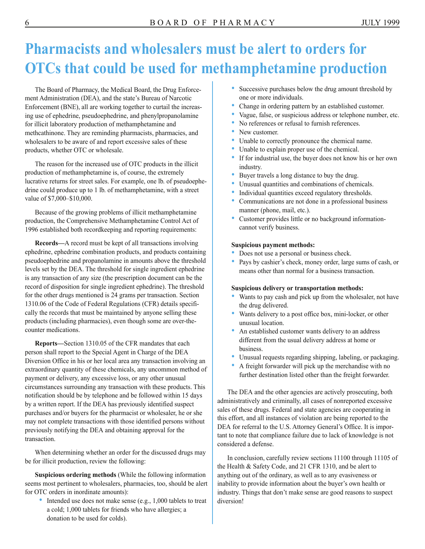### **Pharmacists and wholesalers must be alert to orders for OTCs that could be used for methamphetamine production**

The Board of Pharmacy, the Medical Board, the Drug Enforcement Administration (DEA), and the state's Bureau of Narcotic Enforcement (BNE), all are working together to curtail the increasing use of ephedrine, pseudoephedrine, and phenylpropanolamine for illicit laboratory production of methamphetamine and methcathinone. They are reminding pharmacists, pharmacies, and wholesalers to be aware of and report excessive sales of these products, whether OTC or wholesale.

The reason for the increased use of OTC products in the illicit production of methamphetamine is, of course, the extremely lucrative returns for street sales. For example, one lb. of pseudoephedrine could produce up to 1 lb. of methamphetamine, with a street value of \$7,000–\$10,000.

Because of the growing problems of illicit methamphetamine production, the Comprehensive Methamphetamine Control Act of 1996 established both recordkeeping and reporting requirements:

**Records—**A record must be kept of all transactions involving ephedrine, ephedrine combination products, and products containing pseudoephedrine and propanolamine in amounts above the threshold levels set by the DEA. The threshold for single ingredient ephedrine is any transaction of any size (the prescription document can be the record of disposition for single ingredient ephedrine). The threshold for the other drugs mentioned is 24 grams per transaction. Section 1310.06 of the Code of Federal Regulations (CFR) details specifically the records that must be maintained by anyone selling these products (including pharmacies), even though some are over-thecounter medications.

**Reports—**Section 1310.05 of the CFR mandates that each person shall report to the Special Agent in Charge of the DEA Diversion Office in his or her local area any transaction involving an extraordinary quantity of these chemicals, any uncommon method of payment or delivery, any excessive loss, or any other unusual circumstances surrounding any transaction with these products. This notification should be by telephone and be followed within 15 days by a written report. If the DEA has previously identified suspect purchases and/or buyers for the pharmacist or wholesaler, he or she may not complete transactions with those identified persons without previously notifying the DEA and obtaining approval for the transaction.

When determining whether an order for the discussed drugs may be for illicit production, review the following:

**Suspicious ordering methods** (While the following information seems most pertinent to wholesalers, pharmacies, too, should be alert for OTC orders in inordinate amounts):

• Intended use does not make sense (e.g., 1,000 tablets to treat a cold; 1,000 tablets for friends who have allergies; a donation to be used for colds).

- Successive purchases below the drug amount threshold by one or more individuals.
- Change in ordering pattern by an established customer.
- Vague, false, or suspicious address or telephone number, etc.
- No references or refusal to furnish references.
- New customer.
- Unable to correctly pronounce the chemical name.
- Unable to explain proper use of the chemical.
- If for industrial use, the buyer does not know his or her own industry.
- Buyer travels a long distance to buy the drug.
- Unusual quantities and combinations of chemicals.
- Individual quantities exceed regulatory thresholds.
- Communications are not done in a professional business manner (phone, mail, etc.).
- Customer provides little or no background informationcannot verify business.

#### **Suspicious payment methods:**

- Does not use a personal or business check.
- Pays by cashier's check, money order, large sums of cash, or means other than normal for a business transaction.

#### **Suspicious delivery or transportation methods:**

- Wants to pay cash and pick up from the wholesaler, not have the drug delivered.
- Wants delivery to a post office box, mini-locker, or other unusual location.
- An established customer wants delivery to an address different from the usual delivery address at home or business.
- Unusual requests regarding shipping, labeling, or packaging.
- A freight forwarder will pick up the merchandise with no further destination listed other than the freight forwarder.

The DEA and the other agencies are actively prosecuting, both administratively and criminally, all cases of nonreported excessive sales of these drugs. Federal and state agencies are cooperating in this effort, and all instances of violation are being reported to the DEA for referral to the U.S. Attorney General's Office. It is important to note that compliance failure due to lack of knowledge is not considered a defense.

In conclusion, carefully review sections 11100 through 11105 of the Health & Safety Code, and 21 CFR 1310, and be alert to anything out of the ordinary, as well as to any evasiveness or inability to provide information about the buyer's own health or industry. Things that don't make sense are good reasons to suspect diversion!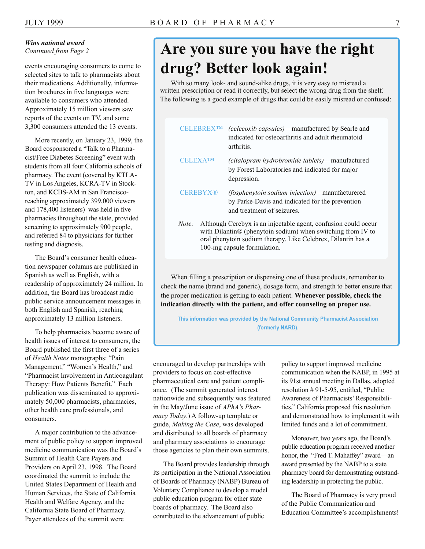#### *Wins national award Continued from Page 2*

events encouraging consumers to come to selected sites to talk to pharmacists about their medications. Additionally, information brochures in five languages were available to consumers who attended. Approximately 15 million viewers saw reports of the events on TV, and some 3,300 consumers attended the 13 events.

More recently, on January 23, 1999, the Board cosponsored a "Talk to a Pharmacist/Free Diabetes Screening" event with students from all four California schools of pharmacy. The event (covered by KTLA-TV in Los Angeles, KCRA-TV in Stockton, and KCBS-AM in San Franciscoreaching approximately 399,000 viewers and 178,400 listeners) was held in five pharmacies throughout the state, provided screening to approximately 900 people, and referred 84 to physicians for further testing and diagnosis.

The Board's consumer health education newspaper columns are published in Spanish as well as English, with a readership of approximately 24 million. In addition, the Board has broadcast radio public service announcement messages in both English and Spanish, reaching approximately 13 million listeners.

To help pharmacists become aware of health issues of interest to consumers, the Board published the first three of a series of *Health Notes* monographs: "Pain Management," "Women's Health," and "Pharmacist Involvement in Anticoagulant Therapy: How Patients Benefit." Each publication was disseminated to approximately 50,000 pharmacists, pharmacies, other health care professionals, and consumers.

A major contribution to the advancement of public policy to support improved medicine communication was the Board's Summit of Health Care Payers and Providers on April 23, 1998. The Board coordinated the summit to include the United States Department of Health and Human Services, the State of California Health and Welfare Agency, and the California State Board of Pharmacy. Payer attendees of the summit were

### **Are you sure you have the right drug? Better look again!**

With so many look- and sound-alike drugs, it is very easy to misread a written prescription or read it correctly, but select the wrong drug from the shelf. The following is a good example of drugs that could be easily misread or confused:

|                 | <b>CELERREXTM</b> | (celecoxib capsules)-manufactured by Searle and<br>indicated for osteoarthritis and adult rheumatoid<br>arthritis.                                                                                                           |  |
|-----------------|-------------------|------------------------------------------------------------------------------------------------------------------------------------------------------------------------------------------------------------------------------|--|
| <b>CELEXATM</b> |                   | (citalopram hydrobromide tablets)—manufactured<br>by Forest Laboratories and indicated for major<br>depression.                                                                                                              |  |
| <b>CEREBYX®</b> |                   | (fosphenytoin sodium injection)—manufacturered<br>by Parke-Davis and indicated for the prevention<br>and treatment of seizures.                                                                                              |  |
| Note:           |                   | Although Cerebyx is an injectable agent, confusion could occur<br>with Dilantin® (phenytoin sodium) when switching from IV to<br>oral phenytoin sodium therapy. Like Celebrex, Dilantin has a<br>100-mg capsule formulation. |  |

When filling a prescription or dispensing one of these products, remember to check the name (brand and generic), dosage form, and strength to better ensure that the proper medication is getting to each patient. **Whenever possible, check the indication directly with the patient, and offer counseling on proper use.** 

**This information was provided by the National Community Pharmacist Association (formerly NARD).** 

encouraged to develop partnerships with providers to focus on cost-effective pharmaceutical care and patient compliance. (The summit generated interest nationwide and subsequently was featured in the May/June issue of *APhA's Pharmacy Today*.) A follow-up template or guide, *Making the Case*, was developed and distributed to all boards of pharmacy and pharmacy associations to encourage those agencies to plan their own summits.

The Board provides leadership through its participation in the National Association of Boards of Pharmacy (NABP) Bureau of Voluntary Compliance to develop a model public education program for other state boards of pharmacy. The Board also contributed to the advancement of public

policy to support improved medicine communication when the NABP, in 1995 at its 91st annual meeting in Dallas, adopted resolution # 91-5-95, entitled, "Public Awareness of Pharmacists' Responsibilities." California proposed this resolution and demonstrated how to implement it with limited funds and a lot of commitment.

Moreover, two years ago, the Board's public education program received another honor, the "Fred T. Mahaffey" award—an award presented by the NABP to a state pharmacy board for demonstrating outstanding leadership in protecting the public.

The Board of Pharmacy is very proud of the Public Communication and Education Committee's accomplishments!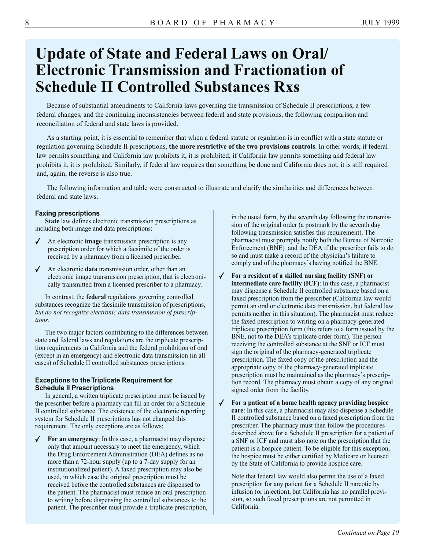### **Update of State and Federal Laws on Oral/ Electronic Transmission and Fractionation of Schedule II Controlled Substances Rxs**

Because of substantial amendments to California laws governing the transmission of Schedule II prescriptions, a few federal changes, and the continuing inconsistencies between federal and state provisions, the following comparison and reconciliation of federal and state laws is provided.

As a starting point, it is essential to remember that when a federal statute or regulation is in conflict with a state statute or regulation governing Schedule II prescriptions, **the more restrictive of the two provisions controls**. In other words, if federal law permits something and California law prohibits it, it is prohibited; if California law permits something and federal law prohibits it, it is prohibited. Similarly, if federal law requires that something be done and California does not, it is still required and, again, the reverse is also true.

The following information and table were constructed to illustrate and clarify the similarities and differences between federal and state laws.

#### **Faxing prescriptions**

**State** law defines electronic transmission prescriptions as including both image and data prescriptions:

- ✔ An electronic **image** transmission prescription is any prescription order for which a facsimile of the order is received by a pharmacy from a licensed prescriber.
- ✔ An electronic **data** transmission order, other than an electronic image transmission prescription, that is electronically transmitted from a licensed prescriber to a pharmacy.

In contrast, the **federal** regulations governing controlled substances recognize the facsimile transmission of prescriptions, *but do not recognize electronic data transmission of prescriptions*.

The two major factors contributing to the differences between state and federal laws and regulations are the triplicate prescription requirements in California and the federal prohibition of oral (except in an emergency) and electronic data transmission (in all cases) of Schedule II controlled substances prescriptions.

#### **Exceptions to the Triplicate Requirement for Schedule II Prescriptions**

In general, a written triplicate prescription must be issued by the prescriber before a pharmacy can fill an order for a Schedule II controlled substance. The existence of the electronic reporting system for Schedule II prescriptions has not changed this requirement. The only exceptions are as follows:

For an emergency: In this case, a pharmacist may dispense only that amount necessary to meet the emergency, which the Drug Enforcement Administration (DEA) defines as no more than a 72-hour supply (up to a 7-day supply for an institutionalized patient). A faxed prescription may also be used, in which case the original prescription must be received before the controlled substances are dispensed to the patient. The pharmacist must reduce an oral prescription to writing before dispensing the controlled substances to the patient. The prescriber must provide a triplicate prescription, in the usual form, by the seventh day following the transmission of the original order (a postmark by the seventh day following transmission satisfies this requirement). The pharmacist must promptly notify both the Bureau of Narcotic Enforcement (BNE) and the DEA if the prescriber fails to do so and must make a record of the physician's failure to comply and of the pharmacy's having notified the BNE.

✔ **For a resident of a skilled nursing facility (SNF) or intermediate care facility (ICF)**: In this case, a pharmacist may dispense a Schedule II controlled substance based on a faxed prescription from the prescriber (California law would permit an oral or electronic data transmission, but federal law permits neither in this situation). The pharmacist must reduce the faxed prescription to writing on a pharmacy-generated triplicate prescription form (this refers to a form issued by the BNE, not to the DEA's triplicate order form). The person receiving the controlled substance at the SNF or ICF must sign the original of the pharmacy-generated triplicate prescription. The faxed copy of the prescription and the appropriate copy of the pharmacy-generated triplicate prescription must be maintained as the pharmacy's prescription record. The pharmacy must obtain a copy of any original signed order from the facility.

✔ **For a patient of a home health agency providing hospice care**: In this case, a pharmacist may also dispense a Schedule II controlled substance based on a faxed prescription from the prescriber. The pharmacy must then follow the procedures described above for a Schedule II prescription for a patient of a SNF or ICF and must also note on the prescription that the patient is a hospice patient. To be eligible for this exception, the hospice must be either certified by Medicare or licensed by the State of California to provide hospice care.

Note that federal law would also permit the use of a faxed prescription for any patient for a Schedule II narcotic by infusion (or injection), but California has no parallel provision, so such faxed prescriptions are not permitted in California.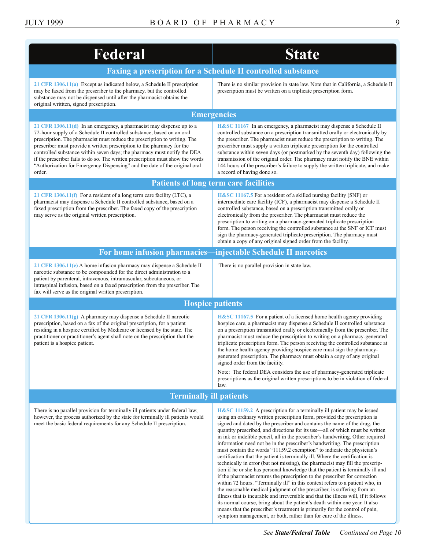<span id="page-8-0"></span>

| Federal                                                                                                                                                                                                                                                                                                                                                                                                                                                                                                                                                       | <b>State</b>                                                                                                                                                                                                                                                                                                                                                                                                                                                                                                                                                                                                                                                                                                                                                                                                                                                                                                                                                                                                                                                                                                                                                                                                                    |  |  |  |  |
|---------------------------------------------------------------------------------------------------------------------------------------------------------------------------------------------------------------------------------------------------------------------------------------------------------------------------------------------------------------------------------------------------------------------------------------------------------------------------------------------------------------------------------------------------------------|---------------------------------------------------------------------------------------------------------------------------------------------------------------------------------------------------------------------------------------------------------------------------------------------------------------------------------------------------------------------------------------------------------------------------------------------------------------------------------------------------------------------------------------------------------------------------------------------------------------------------------------------------------------------------------------------------------------------------------------------------------------------------------------------------------------------------------------------------------------------------------------------------------------------------------------------------------------------------------------------------------------------------------------------------------------------------------------------------------------------------------------------------------------------------------------------------------------------------------|--|--|--|--|
| Faxing a prescription for a Schedule II controlled substance                                                                                                                                                                                                                                                                                                                                                                                                                                                                                                  |                                                                                                                                                                                                                                                                                                                                                                                                                                                                                                                                                                                                                                                                                                                                                                                                                                                                                                                                                                                                                                                                                                                                                                                                                                 |  |  |  |  |
| 21 CFR 1306.11(a) Except as indicated below, a Schedule II prescription<br>may be faxed from the prescriber to the pharmacy, but the controlled<br>substance may not be dispensed until after the pharmacist obtains the<br>original writtten, signed prescription.                                                                                                                                                                                                                                                                                           | There is no similar provision in state law. Note that in California, a Schedule II<br>prescription must be written on a triplicate prescription form.                                                                                                                                                                                                                                                                                                                                                                                                                                                                                                                                                                                                                                                                                                                                                                                                                                                                                                                                                                                                                                                                           |  |  |  |  |
| <b>Emergencies</b>                                                                                                                                                                                                                                                                                                                                                                                                                                                                                                                                            |                                                                                                                                                                                                                                                                                                                                                                                                                                                                                                                                                                                                                                                                                                                                                                                                                                                                                                                                                                                                                                                                                                                                                                                                                                 |  |  |  |  |
| 21 CFR $1306.11(d)$ In an emergency, a pharmacist may dispense up to a<br>72-hour supply of a Schedule II controlled substance, based on an oral<br>prescription. The pharmacist must reduce the prescription to writing. The<br>prescriber must provide a written prescription to the pharmacy for the<br>controlled substance within seven days; the pharmacy must notify the DEA<br>if the prescriber fails to do so. The written prescription must show the words<br>"Authorization for Emergency Dispensing" and the date of the original oral<br>order. | H&SC 11167 In an emergency, a pharmacist may dispense a Schedule II<br>controlled substance on a prescription transmitted orally or electronically by<br>the prescriber. The pharmacist must reduce the prescription to writing. The<br>prescriber must supply a written triplicate prescription for the controlled<br>substance within seven days (or postmarked by the seventh day) following the<br>transmission of the original order. The pharmacy must notify the BNE within<br>144 hours of the prescriber's failure to supply the written triplicate, and make<br>a record of having done so.                                                                                                                                                                                                                                                                                                                                                                                                                                                                                                                                                                                                                           |  |  |  |  |
| <b>Patients of long term care facilities</b>                                                                                                                                                                                                                                                                                                                                                                                                                                                                                                                  |                                                                                                                                                                                                                                                                                                                                                                                                                                                                                                                                                                                                                                                                                                                                                                                                                                                                                                                                                                                                                                                                                                                                                                                                                                 |  |  |  |  |
| 21 CFR 1306.11(f) For a resident of a long term care facility (LTC), a<br>pharmacist may dispense a Schedule II controlled substance, based on a<br>faxed prescription from the prescriber. The faxed copy of the prescription<br>may serve as the original written prescription.                                                                                                                                                                                                                                                                             | H&SC 11167.5 For a resident of a skilled nursing facility (SNF) or<br>intermediate care facility (ICF), a pharmacist may dispense a Schedule II<br>controlled substance, based on a prescription transmitted orally or<br>electronically from the prescriber. The pharmacist must reduce the<br>prescription to writing on a pharmacy-generated triplicate prescription<br>form. The person receiving the controlled substance at the SNF or ICF must<br>sign the pharmacy-generated triplicate prescription. The pharmacy must<br>obtain a copy of any original signed order from the facility.                                                                                                                                                                                                                                                                                                                                                                                                                                                                                                                                                                                                                                |  |  |  |  |
| For home infusion pharmacies—injectable Schedule II narcotics                                                                                                                                                                                                                                                                                                                                                                                                                                                                                                 |                                                                                                                                                                                                                                                                                                                                                                                                                                                                                                                                                                                                                                                                                                                                                                                                                                                                                                                                                                                                                                                                                                                                                                                                                                 |  |  |  |  |
| 21 CFR $1306.11(e)$ A home infusion pharmacy may dispense a Schedule II<br>narcotic substance to be compounded for the direct administration to a<br>patient by parenteral, intravenous, intramuscular, subcutaneous, or<br>intraspinal infusion, based on a faxed prescription from the prescriber. The<br>fax will serve as the original written prescription.                                                                                                                                                                                              | There is no parallel provision in state law.                                                                                                                                                                                                                                                                                                                                                                                                                                                                                                                                                                                                                                                                                                                                                                                                                                                                                                                                                                                                                                                                                                                                                                                    |  |  |  |  |
| <b>Hospice patients</b>                                                                                                                                                                                                                                                                                                                                                                                                                                                                                                                                       |                                                                                                                                                                                                                                                                                                                                                                                                                                                                                                                                                                                                                                                                                                                                                                                                                                                                                                                                                                                                                                                                                                                                                                                                                                 |  |  |  |  |
| 21 CFR $1306.11(g)$ A pharmacy may dispense a Schedule II narcotic<br>prescription, based on a fax of the original prescription, for a patient<br>residing in a hospice certified by Medicare or licensed by the state. The<br>practitioner or practitioner's agent shall note on the prescription that the<br>patient is a hospice patient.                                                                                                                                                                                                                  | H&SC 11167.5 For a patient of a licensed home health agency providing<br>hospice care, a pharmacist may dispense a Schedule II controlled substance<br>on a prescription transmitted orally or electronically from the prescriber. The<br>pharmacist must reduce the prescription to writing on a pharmacy-generated<br>triplicate prescription form. The person receiving the controlled substance at<br>the home health agency providing hospice care must sign the pharmacy-<br>generated prescription. The pharmacy must obtain a copy of any original<br>signed order from the facility.<br>Note: The federal DEA considers the use of pharmacy-generated triplicate<br>prescriptions as the original written prescriptions to be in violation of federal                                                                                                                                                                                                                                                                                                                                                                                                                                                                  |  |  |  |  |
|                                                                                                                                                                                                                                                                                                                                                                                                                                                                                                                                                               | law.                                                                                                                                                                                                                                                                                                                                                                                                                                                                                                                                                                                                                                                                                                                                                                                                                                                                                                                                                                                                                                                                                                                                                                                                                            |  |  |  |  |
| <b>Terminally ill patients</b>                                                                                                                                                                                                                                                                                                                                                                                                                                                                                                                                |                                                                                                                                                                                                                                                                                                                                                                                                                                                                                                                                                                                                                                                                                                                                                                                                                                                                                                                                                                                                                                                                                                                                                                                                                                 |  |  |  |  |
| There is no parallel provision for terminally ill patients under federal law;<br>however, the process authorized by the state for terminally ill patients would<br>meet the basic federal requirements for any Schedule II prescription.                                                                                                                                                                                                                                                                                                                      | H&SC 11159.2 A prescription for a terminally ill patient may be issued<br>using an ordinary written prescription form, provided the prescription is<br>signed and dated by the prescriber and contains the name of the drug, the<br>quantity prescribed, and directions for its use—all of which must be written<br>in ink or indelible pencil, all in the prescriber's handwriting. Other required<br>information need not be in the prescriber's handwriting. The prescription<br>must contain the words "11159.2 exemption" to indicate the physician's<br>certification that the patient is terminally ill. Where the certification is<br>technically in error (but not missing), the pharmacist may fill the prescrip-<br>tion if he or she has personal knowledge that the patient is terminally ill and<br>if the pharmacist returns the prescription to the prescriber for correction<br>within 72 hours. "Terminally ill" in this context refers to a patient who, in<br>the reasonable medical judgment of the prescriber, is suffering from an<br>illness that is incurable and irreversible and that the illness will, if it follows<br>its normal course, bring about the patient's death within one year. It also |  |  |  |  |

means that the prescriber's treatment is primarily for the control of pain, symptom management, or both, rather than for cure of the illness.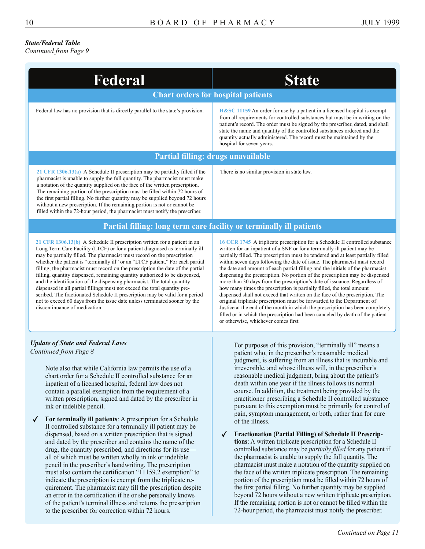#### *State/Federal Table*

*[Continued from Page 9](#page-8-0)* 

| Federal                                                                                                                                                                                                                                                                                                                                                                                                                                                                                                                                                                                                                                                                                                                                                                                                                                                                                                                                                                                                                                                                                                                                                                                                                               | <b>State</b>                                                                                                                                                                                                                                                                                                                                                                                                                                                                                                                                                                                                                                                                                                                                                                                                                                                                                                                                                                                                                                                                                                                                                                                                                                                                                                                                                                            |  |  |  |  |
|---------------------------------------------------------------------------------------------------------------------------------------------------------------------------------------------------------------------------------------------------------------------------------------------------------------------------------------------------------------------------------------------------------------------------------------------------------------------------------------------------------------------------------------------------------------------------------------------------------------------------------------------------------------------------------------------------------------------------------------------------------------------------------------------------------------------------------------------------------------------------------------------------------------------------------------------------------------------------------------------------------------------------------------------------------------------------------------------------------------------------------------------------------------------------------------------------------------------------------------|-----------------------------------------------------------------------------------------------------------------------------------------------------------------------------------------------------------------------------------------------------------------------------------------------------------------------------------------------------------------------------------------------------------------------------------------------------------------------------------------------------------------------------------------------------------------------------------------------------------------------------------------------------------------------------------------------------------------------------------------------------------------------------------------------------------------------------------------------------------------------------------------------------------------------------------------------------------------------------------------------------------------------------------------------------------------------------------------------------------------------------------------------------------------------------------------------------------------------------------------------------------------------------------------------------------------------------------------------------------------------------------------|--|--|--|--|
| <b>Chart orders for hospital patients</b>                                                                                                                                                                                                                                                                                                                                                                                                                                                                                                                                                                                                                                                                                                                                                                                                                                                                                                                                                                                                                                                                                                                                                                                             |                                                                                                                                                                                                                                                                                                                                                                                                                                                                                                                                                                                                                                                                                                                                                                                                                                                                                                                                                                                                                                                                                                                                                                                                                                                                                                                                                                                         |  |  |  |  |
| Federal law has no provision that is directly parallel to the state's provision.                                                                                                                                                                                                                                                                                                                                                                                                                                                                                                                                                                                                                                                                                                                                                                                                                                                                                                                                                                                                                                                                                                                                                      | H&SC 11159 An order for use by a patient in a licensed hospital is exempt<br>from all requirements for controlled substances but must be in writing on the<br>patient's record. The order must be signed by the prescriber, dated, and shall<br>state the name and quantity of the controlled substances ordered and the<br>quantity actually administered. The record must be maintained by the<br>hospital for seven years.                                                                                                                                                                                                                                                                                                                                                                                                                                                                                                                                                                                                                                                                                                                                                                                                                                                                                                                                                           |  |  |  |  |
| Partial filling: drugs unavailable                                                                                                                                                                                                                                                                                                                                                                                                                                                                                                                                                                                                                                                                                                                                                                                                                                                                                                                                                                                                                                                                                                                                                                                                    |                                                                                                                                                                                                                                                                                                                                                                                                                                                                                                                                                                                                                                                                                                                                                                                                                                                                                                                                                                                                                                                                                                                                                                                                                                                                                                                                                                                         |  |  |  |  |
| 21 CFR $1306.13(a)$ A Schedule II prescription may be partially filled if the<br>pharmacist is unable to supply the full quantity. The pharmacist must make<br>a notation of the quantity supplied on the face of the written prescription.<br>The remaining portion of the prescription must be filled within 72 hours of<br>the first partial filling. No further quantity may be supplied beyond 72 hours<br>without a new prescription. If the remaining portion is not or cannot be<br>filled within the 72-hour period, the pharmacist must notify the prescriber.                                                                                                                                                                                                                                                                                                                                                                                                                                                                                                                                                                                                                                                              | There is no similar provision in state law.                                                                                                                                                                                                                                                                                                                                                                                                                                                                                                                                                                                                                                                                                                                                                                                                                                                                                                                                                                                                                                                                                                                                                                                                                                                                                                                                             |  |  |  |  |
| Partial filling: long term care facility or terminally ill patients                                                                                                                                                                                                                                                                                                                                                                                                                                                                                                                                                                                                                                                                                                                                                                                                                                                                                                                                                                                                                                                                                                                                                                   |                                                                                                                                                                                                                                                                                                                                                                                                                                                                                                                                                                                                                                                                                                                                                                                                                                                                                                                                                                                                                                                                                                                                                                                                                                                                                                                                                                                         |  |  |  |  |
| 21 CFR $1306.13(b)$ A Schedule II prescription written for a patient in an<br>Long Term Care Facility (LTCF) or for a patient diagnosed as terminally ill<br>may be partially filled. The pharmacist must record on the prescription<br>whether the patient is "terminally ill" or an "LTCF patient." For each partial<br>filling, the pharmacist must record on the prescription the date of the partial<br>filling, quantity dispensed, remaining quantity authorized to be dispensed,<br>and the identification of the dispensing pharmacist. The total quantity<br>dispensed in all partial fillings must not exceed the total quantity pre-<br>scribed. The fractionated Schedule II prescription may be valid for a period<br>not to exceed 60 days from the issue date unless terminated sooner by the<br>discontinuance of medication.                                                                                                                                                                                                                                                                                                                                                                                        | 16 CCR 1745 A triplicate prescription for a Schedule II controlled substance<br>written for an inpatient of a SNF or for a terminally ill patient may be<br>partially filled. The prescription must be tendered and at least partially filled<br>within seven days following the date of issue. The pharmacist must record<br>the date and amount of each partial filling and the initials of the pharmacist<br>dispensing the prescription. No portion of the prescription may be dispensed<br>more than 30 days from the prescription's date of issuance. Regardless of<br>how many times the prescription is partially filled, the total amount<br>dispensed shall not exceed that written on the face of the prescription. The<br>original triplicate prescription must be forwarded to the Department of<br>Justice at the end of the month in which the prescription has been completely<br>filled or in which the prescription had been canceled by death of the patient<br>or otherwise, whichever comes first.                                                                                                                                                                                                                                                                                                                                                                 |  |  |  |  |
| <b>Update of State and Federal Laws</b><br>Continued from Page 8<br>Note also that while California law permits the use of a<br>chart order for a Schedule II controlled substance for an<br>inpatient of a licensed hospital, federal law does not<br>contain a parallel exemption from the requirement of a<br>written prescription, signed and dated by the prescriber in<br>ink or indelible pencil.<br>For terminally ill patients: A prescription for a Schedule<br>II controlled substance for a terminally ill patient may be<br>dispensed, based on a written prescription that is signed<br>and dated by the prescriber and contains the name of the<br>drug, the quantity prescribed, and directions for its use—<br>all of which must be written wholly in ink or indelible<br>pencil in the prescriber's handwriting. The prescription<br>must also contain the certification "11159.2 exemption" to<br>indicate the prescription is exempt from the triplicate re-<br>quirement. The pharmacist may fill the prescription despite<br>an error in the certification if he or she personally knows<br>of the patient's terminal illness and returns the prescription<br>to the prescriber for correction within 72 hours. | For purposes of this provision, "terminally ill" means a<br>patient who, in the prescriber's reasonable medical<br>judgment, is suffering from an illness that is incurable and<br>irreversible, and whose illness will, in the prescriber's<br>reasonable medical judgment, bring about the patient's<br>death within one year if the illness follows its normal<br>course. In addition, the treatment being provided by the<br>practitioner prescribing a Schedule II controlled substance<br>pursuant to this exemption must be primarily for control of<br>pain, symptom management, or both, rather than for cure<br>of the illness.<br><b>Fractionation (Partial Filling) of Schedule II Prescrip-</b><br>tions: A written triplicate prescription for a Schedule II<br>controlled substance may be <i>partially filled</i> for any patient if<br>the pharmacist is unable to supply the full quantity. The<br>pharmacist must make a notation of the quantity supplied on<br>the face of the written triplicate prescription. The remaining<br>portion of the prescription must be filled within 72 hours of<br>the first partial filling. No further quantity may be supplied<br>beyond 72 hours without a new written triplicate prescription.<br>If the remaining portion is not or cannot be filled within the<br>72-hour period, the pharmacist must notify the prescriber. |  |  |  |  |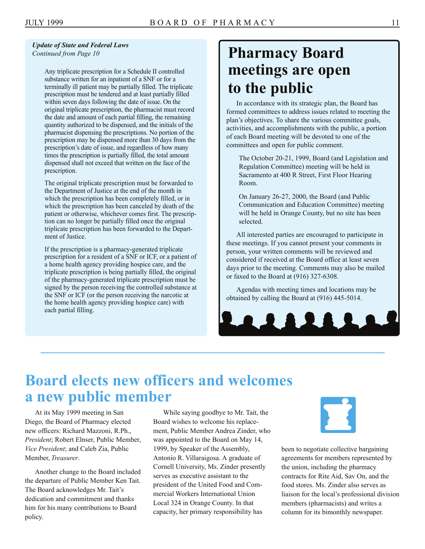<span id="page-10-0"></span>*Update of State and Federal Laws* 

Any triplicate prescription for a Schedule II controlled substance written for an inpatient of a SNF or for a terminally ill patient may be partially filled. The triplicate prescription must be tendered and at least partially filled within seven days following the date of issue. On the original triplicate prescription, the pharmacist must record the date and amount of each partial filling, the remaining quantity authorized to be dispensed, and the initials of the pharmacist dispensing the prescriptions. No portion of the prescription may be dispensed more than 30 days from the prescription's date of issue, and regardless of how many times the prescription is partially filled, the total amount dispensed shall not exceed that written on the face of the prescription.

The original triplicate prescription must be forwarded to the Department of Justice at the end of the month in which the prescription has been completely filled, or in which the prescription has been canceled by death of the patient or otherwise, whichever comes first. The prescription can no longer be partially filled once the original triplicate prescription has been forwarded to the Department of Justice.

If the prescription is a pharmacy-generated triplicate prescription for a resident of a SNF or ICF, or a patient of a home health agency providing hospice care, and the triplicate prescription is being partially filled, the original of the pharmacy-generated triplicate prescription must be signed by the person receiving the controlled substance at the SNF or ICF (or the person receiving the narcotic at the home health agency providing hospice care) with each partial filling.

### *Continued from Page 10* **Pharmacy Board meetings are open to the public**

In accordance with its strategic plan, the Board has formed committees to address issues related to meeting the plan's objectives. To share the various committee goals, activities, and accomplishments with the public, a portion of each Board meeting will be devoted to one of the committees and open for public comment.

The October 20-21, 1999, Board (and Legislation and Regulation Committee) meeting will be held in Sacramento at 400 R Street, First Floor Hearing Room.

On January 26-27, 2000, the Board (and Public Communication and Education Committee) meeting will be held in Orange County, but no site has been selected.

All interested parties are encouraged to participate in these meetings. If you cannot present your comments in person, your written comments will be reviewed and considered if received at the Board office at least seven days prior to the meeting. Comments may also be mailed or faxed to the Board at (916) 327-6308.

Agendas with meeting times and locations may be obtained by calling the Board at (916) 445-5014.



### **Board elects new officers and welcomes a new public member**

At its May 1999 meeting in San Diego, the Board of Pharmacy elected new officers: Richard Mazzoni, R.Ph., *President*; Robert Elnser, Public Member, *Vice President*; and Caleb Zia, Public Member, *Treasurer*.

Another change to the Board included the departure of Public Member Ken Tait. The Board acknowledges Mr. Tait's dedication and commitment and thanks him for his many contributions to Board policy.

While saying goodbye to Mr. Tait, the Board wishes to welcome his replacement, Public Member Andrea Zinder, who was appointed to the Board on May 14, 1999, by Speaker of the Assembly, Antonio R. Villaraigosa. A graduate of Cornell University, Ms. Zinder presently serves as executive assistant to the president of the United Food and Commercial Workers International Union Local 324 in Orange County. In that capacity, her primary responsibility has



been to negotiate collective bargaining agreements for members represented by the union, including the pharmacy contracts for Rite Aid, Sav On, and the food stores. Ms. Zinder also serves as liaison for the local's professional division members (pharmacists) and writes a column for its bimonthly newspaper.